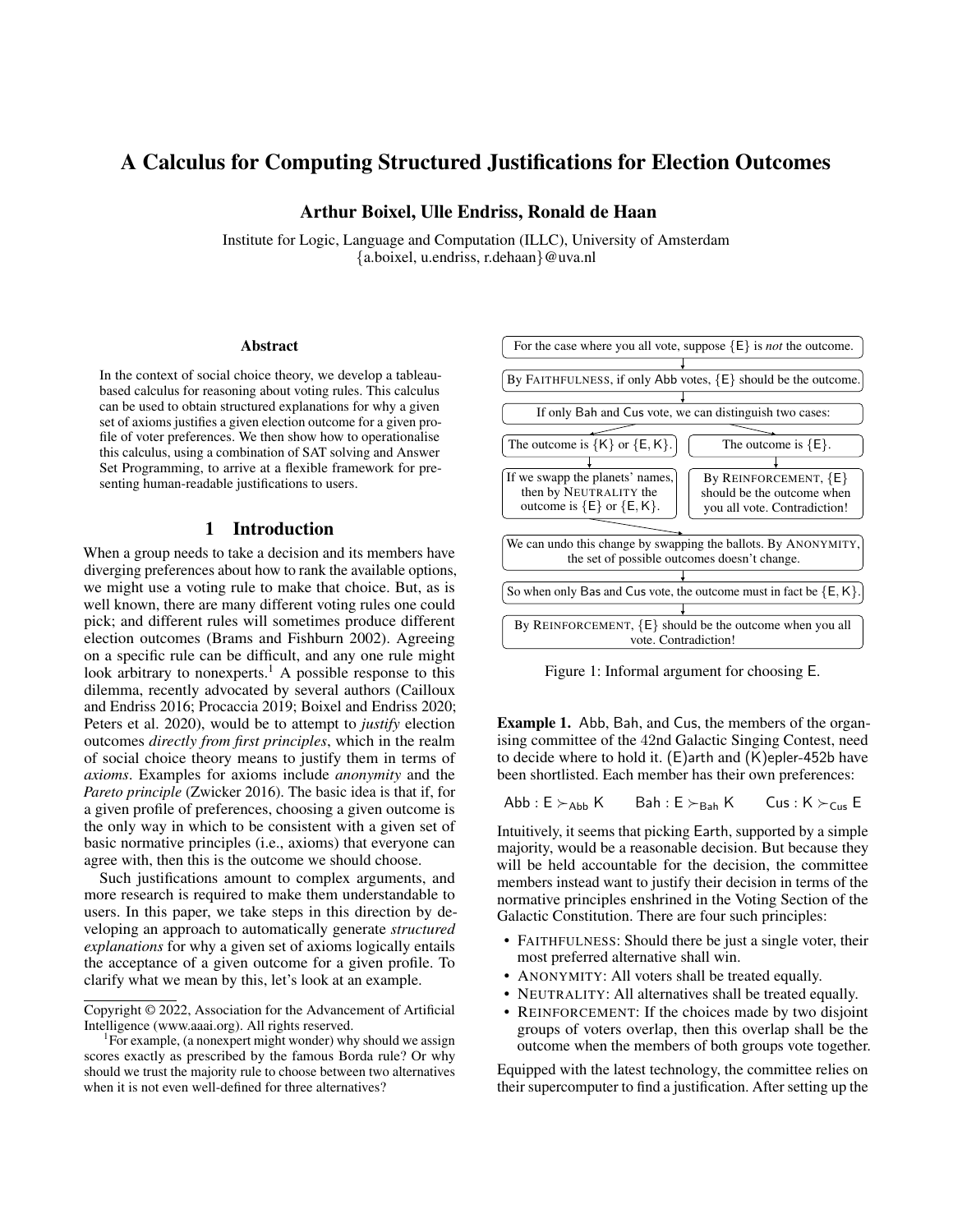# A Calculus for Computing Structured Justifications for Election Outcomes

Arthur Boixel, Ulle Endriss, Ronald de Haan

Institute for Logic, Language and Computation (ILLC), University of Amsterdam {a.boixel, u.endriss, r.dehaan}@uva.nl

#### Abstract

In the context of social choice theory, we develop a tableaubased calculus for reasoning about voting rules. This calculus can be used to obtain structured explanations for why a given set of axioms justifies a given election outcome for a given profile of voter preferences. We then show how to operationalise this calculus, using a combination of SAT solving and Answer Set Programming, to arrive at a flexible framework for presenting human-readable justifications to users.

# 1 Introduction

When a group needs to take a decision and its members have diverging preferences about how to rank the available options, we might use a voting rule to make that choice. But, as is well known, there are many different voting rules one could pick; and different rules will sometimes produce different election outcomes (Brams and Fishburn 2002). Agreeing on a specific rule can be difficult, and any one rule might look arbitrary to nonexperts.<sup>1</sup> A possible response to this dilemma, recently advocated by several authors (Cailloux and Endriss 2016; Procaccia 2019; Boixel and Endriss 2020; Peters et al. 2020), would be to attempt to *justify* election outcomes *directly from first principles*, which in the realm of social choice theory means to justify them in terms of *axioms*. Examples for axioms include *anonymity* and the *Pareto principle* (Zwicker 2016). The basic idea is that if, for a given profile of preferences, choosing a given outcome is the only way in which to be consistent with a given set of basic normative principles (i.e., axioms) that everyone can agree with, then this is the outcome we should choose.

Such justifications amount to complex arguments, and more research is required to make them understandable to users. In this paper, we take steps in this direction by developing an approach to automatically generate *structured explanations* for why a given set of axioms logically entails the acceptance of a given outcome for a given profile. To clarify what we mean by this, let's look at an example.



Figure 1: Informal argument for choosing E.

Example 1. Abb, Bah, and Cus, the members of the organising committee of the 42nd Galactic Singing Contest, need to decide where to hold it. (E)arth and (K)epler-452b have been shortlisted. Each member has their own preferences:

$$
\mathsf{Abb} : \mathsf{E} \succ_{\mathsf{Abb}} \mathsf{K} \qquad \mathsf{Bah} : \mathsf{E} \succ_{\mathsf{Bah}} \mathsf{K} \qquad \mathsf{Cus} : \mathsf{K} \succ_{\mathsf{Cus}} \mathsf{E}
$$

Intuitively, it seems that picking Earth, supported by a simple majority, would be a reasonable decision. But because they will be held accountable for the decision, the committee members instead want to justify their decision in terms of the normative principles enshrined in the Voting Section of the Galactic Constitution. There are four such principles:

- FAITHFULNESS: Should there be just a single voter, their most preferred alternative shall win.
- ANONYMITY: All voters shall be treated equally.
- NEUTRALITY: All alternatives shall be treated equally.
- REINFORCEMENT: If the choices made by two disjoint groups of voters overlap, then this overlap shall be the outcome when the members of both groups vote together.

Equipped with the latest technology, the committee relies on their supercomputer to find a justification. After setting up the

Copyright © 2022, Association for the Advancement of Artificial Intelligence (www.aaai.org). All rights reserved.

<sup>&</sup>lt;sup>1</sup>For example, (a nonexpert might wonder) why should we assign scores exactly as prescribed by the famous Borda rule? Or why should we trust the majority rule to choose between two alternatives when it is not even well-defined for three alternatives?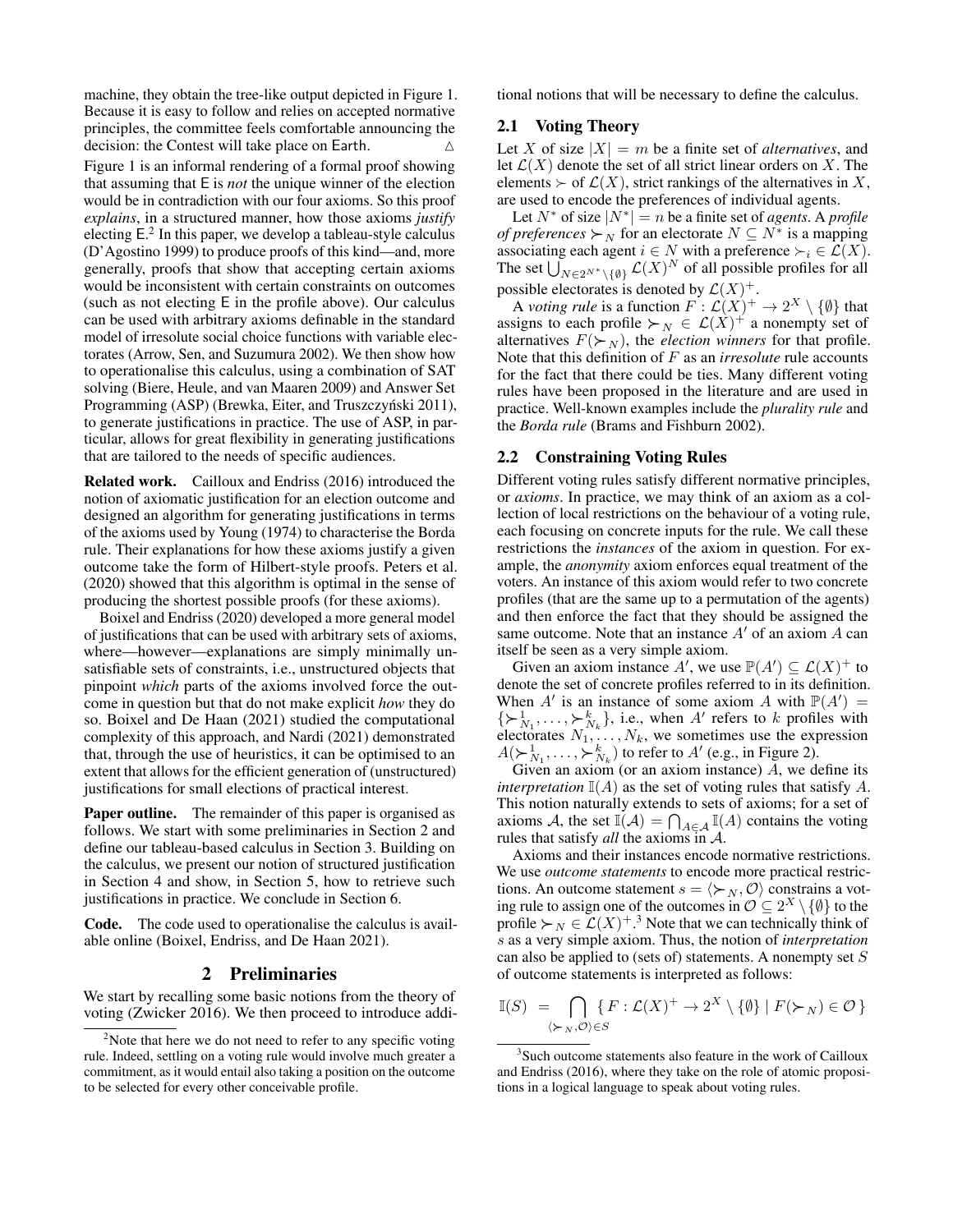machine, they obtain the tree-like output depicted in Figure 1. Because it is easy to follow and relies on accepted normative principles, the committee feels comfortable announcing the decision: the Contest will take place on Earth.  $\triangle$ 

Figure 1 is an informal rendering of a formal proof showing that assuming that E is *not* the unique winner of the election would be in contradiction with our four axioms. So this proof *explains*, in a structured manner, how those axioms *justify* electing E. 2 In this paper, we develop a tableau-style calculus (D'Agostino 1999) to produce proofs of this kind—and, more generally, proofs that show that accepting certain axioms would be inconsistent with certain constraints on outcomes (such as not electing E in the profile above). Our calculus can be used with arbitrary axioms definable in the standard model of irresolute social choice functions with variable electorates (Arrow, Sen, and Suzumura 2002). We then show how to operationalise this calculus, using a combination of SAT solving (Biere, Heule, and van Maaren 2009) and Answer Set Programming (ASP) (Brewka, Eiter, and Truszczyński 2011), to generate justifications in practice. The use of ASP, in particular, allows for great flexibility in generating justifications that are tailored to the needs of specific audiences.

Related work. Cailloux and Endriss (2016) introduced the notion of axiomatic justification for an election outcome and designed an algorithm for generating justifications in terms of the axioms used by Young (1974) to characterise the Borda rule. Their explanations for how these axioms justify a given outcome take the form of Hilbert-style proofs. Peters et al. (2020) showed that this algorithm is optimal in the sense of producing the shortest possible proofs (for these axioms).

Boixel and Endriss (2020) developed a more general model of justifications that can be used with arbitrary sets of axioms, where—however—explanations are simply minimally unsatisfiable sets of constraints, i.e., unstructured objects that pinpoint *which* parts of the axioms involved force the outcome in question but that do not make explicit *how* they do so. Boixel and De Haan (2021) studied the computational complexity of this approach, and Nardi (2021) demonstrated that, through the use of heuristics, it can be optimised to an extent that allows for the efficient generation of (unstructured) justifications for small elections of practical interest.

Paper outline. The remainder of this paper is organised as follows. We start with some preliminaries in Section 2 and define our tableau-based calculus in Section 3. Building on the calculus, we present our notion of structured justification in Section 4 and show, in Section 5, how to retrieve such justifications in practice. We conclude in Section 6.

Code. The code used to operationalise the calculus is available online (Boixel, Endriss, and De Haan 2021).

# 2 Preliminaries

We start by recalling some basic notions from the theory of voting (Zwicker 2016). We then proceed to introduce additional notions that will be necessary to define the calculus.

# 2.1 Voting Theory

Let X of size  $|X| = m$  be a finite set of *alternatives*, and let  $\mathcal{L}(X)$  denote the set of all strict linear orders on X. The elements  $\succ$  of  $\mathcal{L}(X)$ , strict rankings of the alternatives in X, are used to encode the preferences of individual agents.

Let  $N^*$  of size  $|N^*| = n$  be a finite set of *agents*. A *profile of preferences*  $\succ_N$  for an electorate  $N \subseteq N^*$  is a mapping associating each agent  $i \in N$  with a preference  $\succ_i \in \mathcal{L}(X)$ . The set  $\bigcup_{N\in 2^{N^*}\setminus\{\emptyset\}}^N \mathcal{L}(X)^N$  of all possible profiles for all possible electorates is denoted by  $\mathcal{L}(X)^+$ .

A *voting rule* is a function  $F: \mathcal{L}(X)^+ \to 2^X \setminus \{\emptyset\}$  that assigns to each profile  $\succ_N \in \mathcal{L}(X)^+$  a nonempty set of alternatives  $F(\succ_N)$ , the *election winners* for that profile. Note that this definition of F as an *irresolute* rule accounts for the fact that there could be ties. Many different voting rules have been proposed in the literature and are used in practice. Well-known examples include the *plurality rule* and the *Borda rule* (Brams and Fishburn 2002).

# 2.2 Constraining Voting Rules

Different voting rules satisfy different normative principles, or *axioms*. In practice, we may think of an axiom as a collection of local restrictions on the behaviour of a voting rule, each focusing on concrete inputs for the rule. We call these restrictions the *instances* of the axiom in question. For example, the *anonymity* axiom enforces equal treatment of the voters. An instance of this axiom would refer to two concrete profiles (that are the same up to a permutation of the agents) and then enforce the fact that they should be assigned the same outcome. Note that an instance  $A'$  of an axiom  $A$  can itself be seen as a very simple axiom.

Given an axiom instance A', we use  $\mathbb{P}(A') \subseteq \mathcal{L}(X)^+$  to denote the set of concrete profiles referred to in its definition. When A' is an instance of some axiom A with  $\mathbb{P}(A') =$  $\{\succ_{N_1}^1, \ldots, \succ_{N_k}^k\}$ , i.e., when A' refers to k profiles with electorates  $N_1, \ldots, N_k$ , we sometimes use the expression  $A(\succ_{N_1}^1, \ldots, \succ_{N_k}^k)$  to refer to  $A'$  (e.g., in Figure 2).

Given an axiom (or an axiom instance)  $A$ , we define its *interpretation*  $\mathbb{I}(A)$  as the set of voting rules that satisfy A. This notion naturally extends to sets of axioms; for a set of axioms A, the set  $\mathbb{I}(\mathcal{A}) = \bigcap_{A \in \mathcal{A}} \mathbb{I}(A)$  contains the voting rules that satisfy *all* the axioms in A.

Axioms and their instances encode normative restrictions. We use *outcome statements* to encode more practical restrictions. An outcome statement  $s = \langle \succ_N, \mathcal{O} \rangle$  constrains a voting rule to assign one of the outcomes in  $\mathcal{O} \subseteq 2^X \setminus \{\emptyset\}$  to the profile  $\succ_N \in \mathcal{L}(X)^{+,3}$  Note that we can technically think of s as a very simple axiom. Thus, the notion of *interpretation* can also be applied to (sets of) statements. A nonempty set S of outcome statements is interpreted as follows:

$$
\mathbb{I}(S) = \bigcap_{(\succ_N, \mathcal{O}) \in S} \{ F : \mathcal{L}(X)^+ \to 2^X \setminus \{ \emptyset \} \mid F(\succ_N) \in \mathcal{O} \}
$$

 $2^2$ Note that here we do not need to refer to any specific voting rule. Indeed, settling on a voting rule would involve much greater a commitment, as it would entail also taking a position on the outcome to be selected for every other conceivable profile.

<sup>&</sup>lt;sup>3</sup>Such outcome statements also feature in the work of Cailloux and Endriss (2016), where they take on the role of atomic propositions in a logical language to speak about voting rules.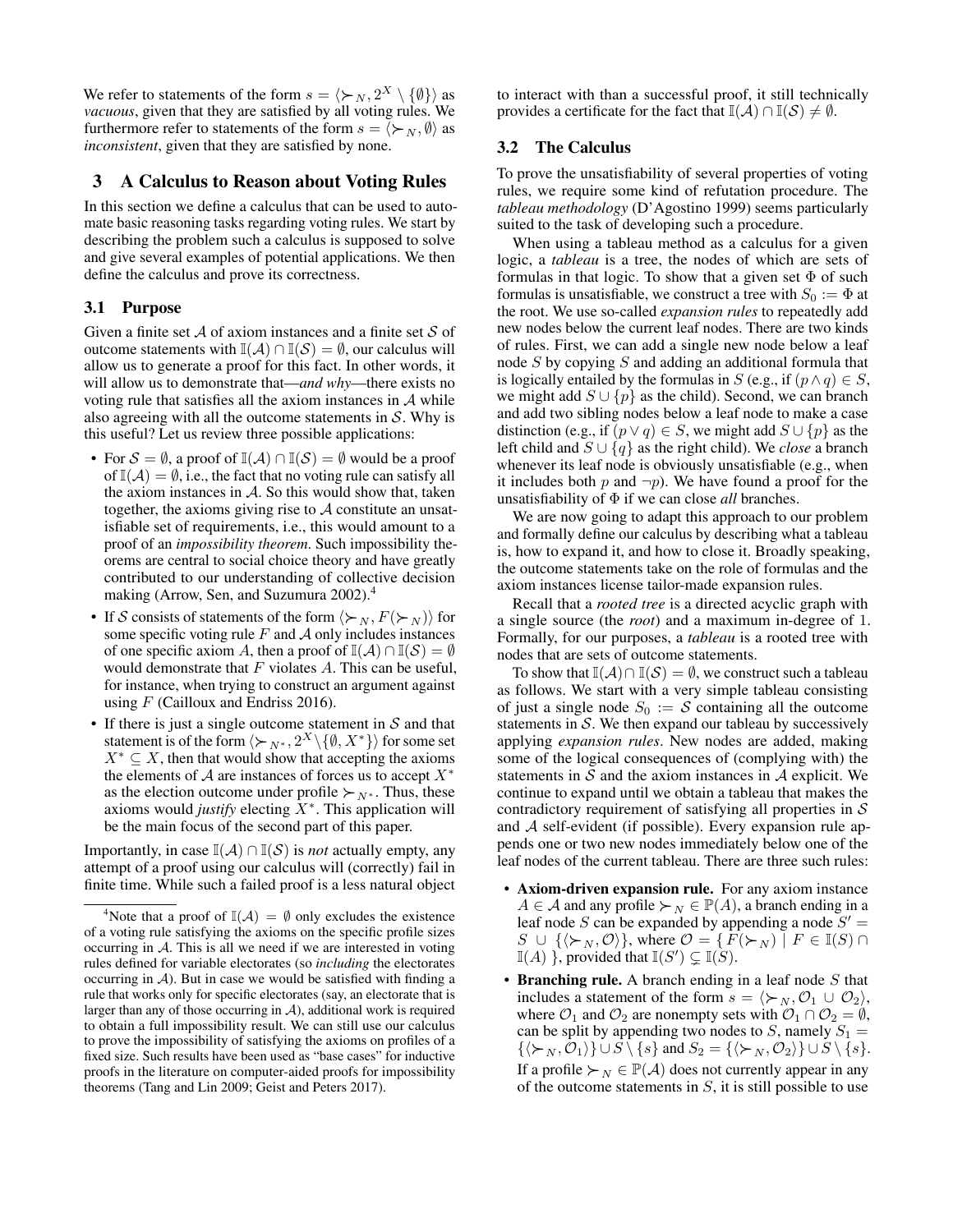We refer to statements of the form  $s = \langle \succ_N, 2^X \setminus \{ \emptyset \} \rangle$  as *vacuous*, given that they are satisfied by all voting rules. We furthermore refer to statements of the form  $s = \langle \succ_N, \emptyset \rangle$  as *inconsistent*, given that they are satisfied by none.

# 3 A Calculus to Reason about Voting Rules

In this section we define a calculus that can be used to automate basic reasoning tasks regarding voting rules. We start by describing the problem such a calculus is supposed to solve and give several examples of potential applications. We then define the calculus and prove its correctness.

# 3.1 Purpose

Given a finite set  $A$  of axiom instances and a finite set  $S$  of outcome statements with  $\mathbb{I}(\mathcal{A}) \cap \mathbb{I}(\mathcal{S}) = \emptyset$ , our calculus will allow us to generate a proof for this fact. In other words, it will allow us to demonstrate that—*and why*—there exists no voting rule that satisfies all the axiom instances in  $A$  while also agreeing with all the outcome statements in  $S$ . Why is this useful? Let us review three possible applications:

- For  $S = \emptyset$ , a proof of  $\mathbb{I}(\mathcal{A}) \cap \mathbb{I}(\mathcal{S}) = \emptyset$  would be a proof of  $\mathbb{I}(\mathcal{A}) = \emptyset$ , i.e., the fact that no voting rule can satisfy all the axiom instances in  $A$ . So this would show that, taken together, the axioms giving rise to  $A$  constitute an unsatisfiable set of requirements, i.e., this would amount to a proof of an *impossibility theorem*. Such impossibility theorems are central to social choice theory and have greatly contributed to our understanding of collective decision making (Arrow, Sen, and Suzumura 2002).<sup>4</sup>
- If S consists of statements of the form  $\langle \succ_N, F(\succ_N) \rangle$  for some specific voting rule  $F$  and  $\mathcal A$  only includes instances of one specific axiom A, then a proof of  $\mathbb{I}(\mathcal{A}) \cap \mathbb{I}(\mathcal{S}) = \emptyset$ would demonstrate that  $F$  violates  $A$ . This can be useful, for instance, when trying to construct an argument against using  $F$  (Cailloux and Endriss 2016).
- If there is just a single outcome statement in  $S$  and that statement is of the form  $\langle \succ_{N^*}, 2^X \setminus \{ \emptyset, X^* \} \rangle$  for some set  $X^* \subseteq X$ , then that would show that accepting the axioms the elements of A are instances of forces us to accept  $X^*$ as the election outcome under profile  $\succ_{N^*}$ . Thus, these axioms would *justify* electing  $\tilde{X}^*$ . This application will be the main focus of the second part of this paper.

Importantly, in case  $\mathbb{I}(\mathcal{A}) \cap \mathbb{I}(\mathcal{S})$  is *not* actually empty, any attempt of a proof using our calculus will (correctly) fail in finite time. While such a failed proof is a less natural object

to interact with than a successful proof, it still technically provides a certificate for the fact that  $\mathbb{I}(\mathcal{A}) \cap \mathbb{I}(\mathcal{S}) \neq \emptyset$ .

#### 3.2 The Calculus

To prove the unsatisfiability of several properties of voting rules, we require some kind of refutation procedure. The *tableau methodology* (D'Agostino 1999) seems particularly suited to the task of developing such a procedure.

When using a tableau method as a calculus for a given logic, a *tableau* is a tree, the nodes of which are sets of formulas in that logic. To show that a given set  $\Phi$  of such formulas is unsatisfiable, we construct a tree with  $S_0 := \Phi$  at the root. We use so-called *expansion rules* to repeatedly add new nodes below the current leaf nodes. There are two kinds of rules. First, we can add a single new node below a leaf node  $S$  by copying  $S$  and adding an additional formula that is logically entailed by the formulas in S (e.g., if  $(p \land q) \in S$ , we might add  $S \cup \{p\}$  as the child). Second, we can branch and add two sibling nodes below a leaf node to make a case distinction (e.g., if  $(p \lor q) \in S$ , we might add  $S \cup \{p\}$  as the left child and S ∪ {q} as the right child). We *close* a branch whenever its leaf node is obviously unsatisfiable (e.g., when it includes both p and  $\neg p$ ). We have found a proof for the unsatisfiability of Φ if we can close *all* branches.

We are now going to adapt this approach to our problem and formally define our calculus by describing what a tableau is, how to expand it, and how to close it. Broadly speaking, the outcome statements take on the role of formulas and the axiom instances license tailor-made expansion rules.

Recall that a *rooted tree* is a directed acyclic graph with a single source (the *root*) and a maximum in-degree of 1. Formally, for our purposes, a *tableau* is a rooted tree with nodes that are sets of outcome statements.

To show that  $\mathbb{I}(\mathcal{A}) \cap \mathbb{I}(\mathcal{S}) = \emptyset$ , we construct such a tableau as follows. We start with a very simple tableau consisting of just a single node  $S_0 := S$  containing all the outcome statements in  $S$ . We then expand our tableau by successively applying *expansion rules*. New nodes are added, making some of the logical consequences of (complying with) the statements in  $S$  and the axiom instances in  $A$  explicit. We continue to expand until we obtain a tableau that makes the contradictory requirement of satisfying all properties in  $S$ and  $A$  self-evident (if possible). Every expansion rule appends one or two new nodes immediately below one of the leaf nodes of the current tableau. There are three such rules:

- Axiom-driven expansion rule. For any axiom instance  $A \in \mathcal{A}$  and any profile  $\succ_N \in \mathbb{P}(A)$ , a branch ending in a leaf node S can be expanded by appending a node  $S' =$  $S \cup \{ \langle \succ_N , \mathcal{O} \rangle \},$  where  $\mathcal{O} = \{ F(\succ_N ) \mid F \in \mathbb{I}(S) \cap$  $\mathbb{I}(A)$  }, provided that  $\mathbb{I}(S') \subsetneq \mathbb{I}(S)$ .
- Branching rule. A branch ending in a leaf node  $S$  that includes a statement of the form  $s = \langle \succ_N, O_1 \cup O_2 \rangle$ , where  $\mathcal{O}_1$  and  $\mathcal{O}_2$  are nonempty sets with  $\mathcal{O}_1 \cap \mathcal{O}_2 = \emptyset$ , can be split by appending two nodes to  $S$ , namely  $S_1 =$  $\{\langle \succ_N, O_1 \rangle\} \cup S \setminus \{s\}$  and  $S_2 = \{\langle \succ_N, O_2 \rangle\} \cup S \setminus \{s\}.$ If a profile  $\succ_N \in \mathbb{P}(\mathcal{A})$  does not currently appear in any of the outcome statements in  $S$ , it is still possible to use

<sup>&</sup>lt;sup>4</sup>Note that a proof of  $\mathbb{I}(\mathcal{A}) = \emptyset$  only excludes the existence of a voting rule satisfying the axioms on the specific profile sizes occurring in A. This is all we need if we are interested in voting rules defined for variable electorates (so *including* the electorates occurring in  $A$ ). But in case we would be satisfied with finding a rule that works only for specific electorates (say, an electorate that is larger than any of those occurring in  $A$ ), additional work is required to obtain a full impossibility result. We can still use our calculus to prove the impossibility of satisfying the axioms on profiles of a fixed size. Such results have been used as "base cases" for inductive proofs in the literature on computer-aided proofs for impossibility theorems (Tang and Lin 2009; Geist and Peters 2017).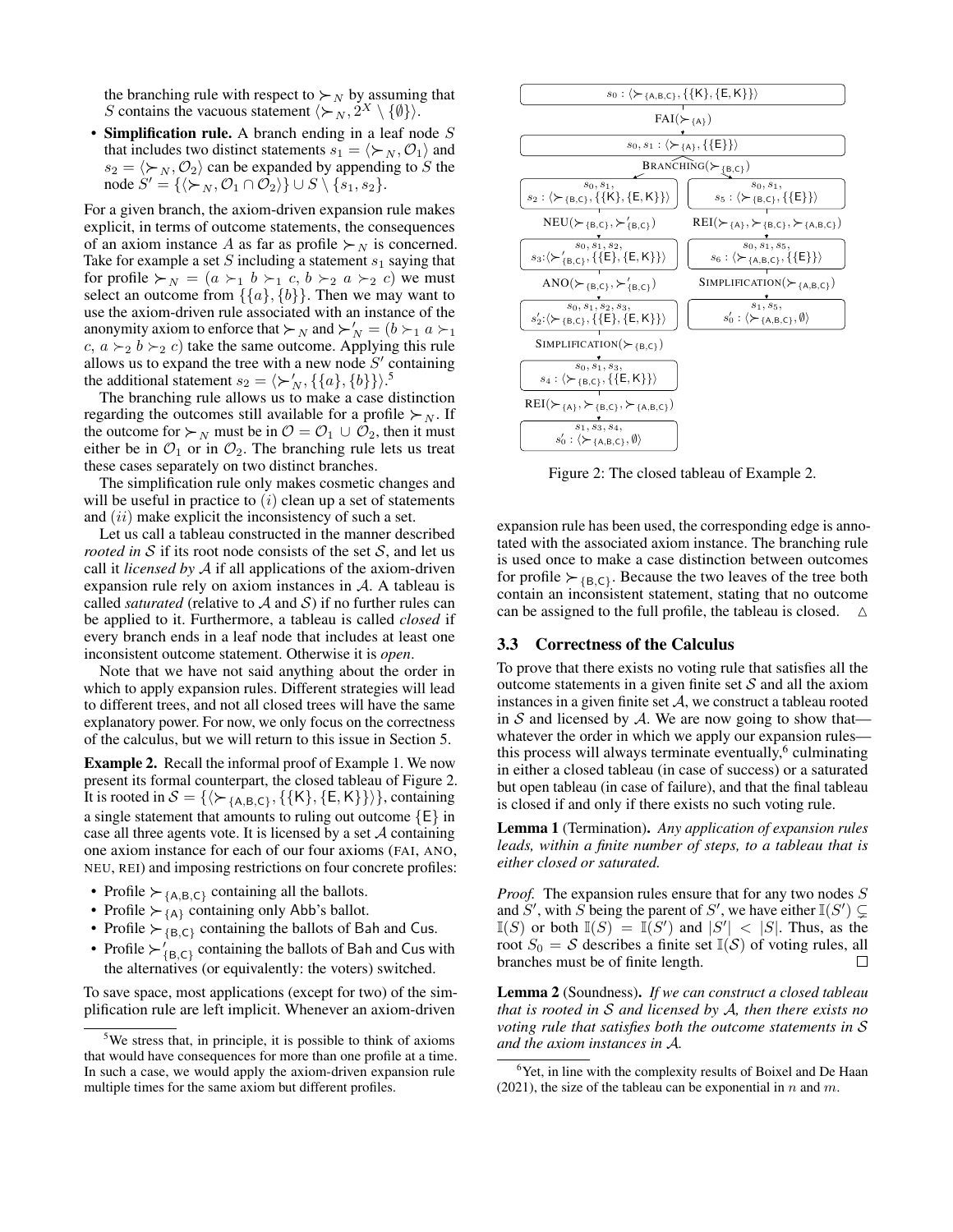the branching rule with respect to  $\succ_N$  by assuming that S contains the vacuous statement  $\langle \succ_N, 2^X \setminus \{\emptyset\} \rangle$ .

• Simplification rule. A branch ending in a leaf node  $S$ that includes two distinct statements  $s_1 = \langle \succ_N, O_1 \rangle$  and  $s_2 = \langle \succ_N, O_2 \rangle$  can be expanded by appending to S the node  $S' = {\langle \succ_N, O_1 \cap O_2 \rangle} \cup S \setminus {\overline{s_1}, s_2}.$ 

For a given branch, the axiom-driven expansion rule makes explicit, in terms of outcome statements, the consequences of an axiom instance A as far as profile  $\succ_N$  is concerned. Take for example a set S including a statement  $s_1$  saying that for profile  $\succ_N$  =  $(a \succ_1 b \succ_1 c, b \succ_2 a \succ_2 c)$  we must select an outcome from  $\{\{a\},\{b\}\}\$ . Then we may want to use the axiom-driven rule associated with an instance of the anonymity axiom to enforce that  $\succ_N$  and  $\succ'_N = (b \succ_1 a \succ_1$  $c, a \succ_2 b \succ_2 c$  take the same outcome. Applying this rule allows us to expand the tree with a new node  $S'$  containing the additional statement  $s_2 = \langle \succ_N', \{\{a\}, \{b\}\}\rangle$ .<sup>5</sup>

The branching rule allows us to make a case distinction regarding the outcomes still available for a profile  $\succ_N$ . If the outcome for  $\succ_N$  must be in  $\mathcal{O} = \mathcal{O}_1 \cup \mathcal{O}_2$ , then it must either be in  $\mathcal{O}_1$  or in  $\mathcal{O}_2$ . The branching rule lets us treat these cases separately on two distinct branches.

The simplification rule only makes cosmetic changes and will be useful in practice to  $(i)$  clean up a set of statements and *(ii)* make explicit the inconsistency of such a set.

Let us call a tableau constructed in the manner described *rooted in*  $S$  if its root node consists of the set  $S$ , and let us call it *licensed by* A if all applications of the axiom-driven expansion rule rely on axiom instances in A. A tableau is called *saturated* (relative to  $\mathcal A$  and  $\mathcal S$ ) if no further rules can be applied to it. Furthermore, a tableau is called *closed* if every branch ends in a leaf node that includes at least one inconsistent outcome statement. Otherwise it is *open*.

Note that we have not said anything about the order in which to apply expansion rules. Different strategies will lead to different trees, and not all closed trees will have the same explanatory power. For now, we only focus on the correctness of the calculus, but we will return to this issue in Section 5.

Example 2. Recall the informal proof of Example 1. We now present its formal counterpart, the closed tableau of Figure 2. It is rooted in  $S = \{ \langle \succ_{\{A,B,C\}}, \{\{K\}, \{E,K\}\} \rangle \}$ , containing a single statement that amounts to ruling out outcome {E} in case all three agents vote. It is licensed by a set  $A$  containing one axiom instance for each of our four axioms (FAI, ANO, NEU, REI) and imposing restrictions on four concrete profiles:

- Profile  $\succ_{A,B,C}$  containing all the ballots.
- Profile  $\succ_{\{A\}}$  containing only Abb's ballot.
- Profile  $\succ_{B,C}$  containing the ballots of Bah and Cus.
- Profile  $\succ'_{\{B,C\}}$  containing the ballots of Bah and Cus with the alternatives (or equivalently: the voters) switched.

To save space, most applications (except for two) of the simplification rule are left implicit. Whenever an axiom-driven



Figure 2: The closed tableau of Example 2.

expansion rule has been used, the corresponding edge is annotated with the associated axiom instance. The branching rule is used once to make a case distinction between outcomes for profile  $\succ_{\{B,C\}}$ . Because the two leaves of the tree both contain an inconsistent statement, stating that no outcome can be assigned to the full profile, the tableau is closed.

#### 3.3 Correctness of the Calculus

To prove that there exists no voting rule that satisfies all the outcome statements in a given finite set  $S$  and all the axiom instances in a given finite set  $A$ , we construct a tableau rooted in  $S$  and licensed by  $A$ . We are now going to show that whatever the order in which we apply our expansion rules this process will always terminate eventually,<sup>6</sup> culminating in either a closed tableau (in case of success) or a saturated but open tableau (in case of failure), and that the final tableau is closed if and only if there exists no such voting rule.

Lemma 1 (Termination). *Any application of expansion rules leads, within a finite number of steps, to a tableau that is either closed or saturated.*

*Proof.* The expansion rules ensure that for any two nodes S and S', with S being the parent of S', we have either  $\mathbb{I}(S') \subsetneq$  $\mathbb{I}(S)$  or both  $\mathbb{I}(S) = \mathbb{I}(S')$  and  $|S'| < |S|$ . Thus, as the root  $S_0 = S$  describes a finite set  $\mathbb{I}(S)$  of voting rules, all branches must be of finite length. branches must be of finite length.

Lemma 2 (Soundness). *If we can construct a closed tableau that is rooted in* S *and licensed by* A*, then there exists no voting rule that satisfies both the outcome statements in* S *and the axiom instances in* A*.*

<sup>&</sup>lt;sup>5</sup>We stress that, in principle, it is possible to think of axioms that would have consequences for more than one profile at a time. In such a case, we would apply the axiom-driven expansion rule multiple times for the same axiom but different profiles.

 $6$ Yet, in line with the complexity results of Boixel and De Haan (2021), the size of the tableau can be exponential in  $n$  and  $m$ .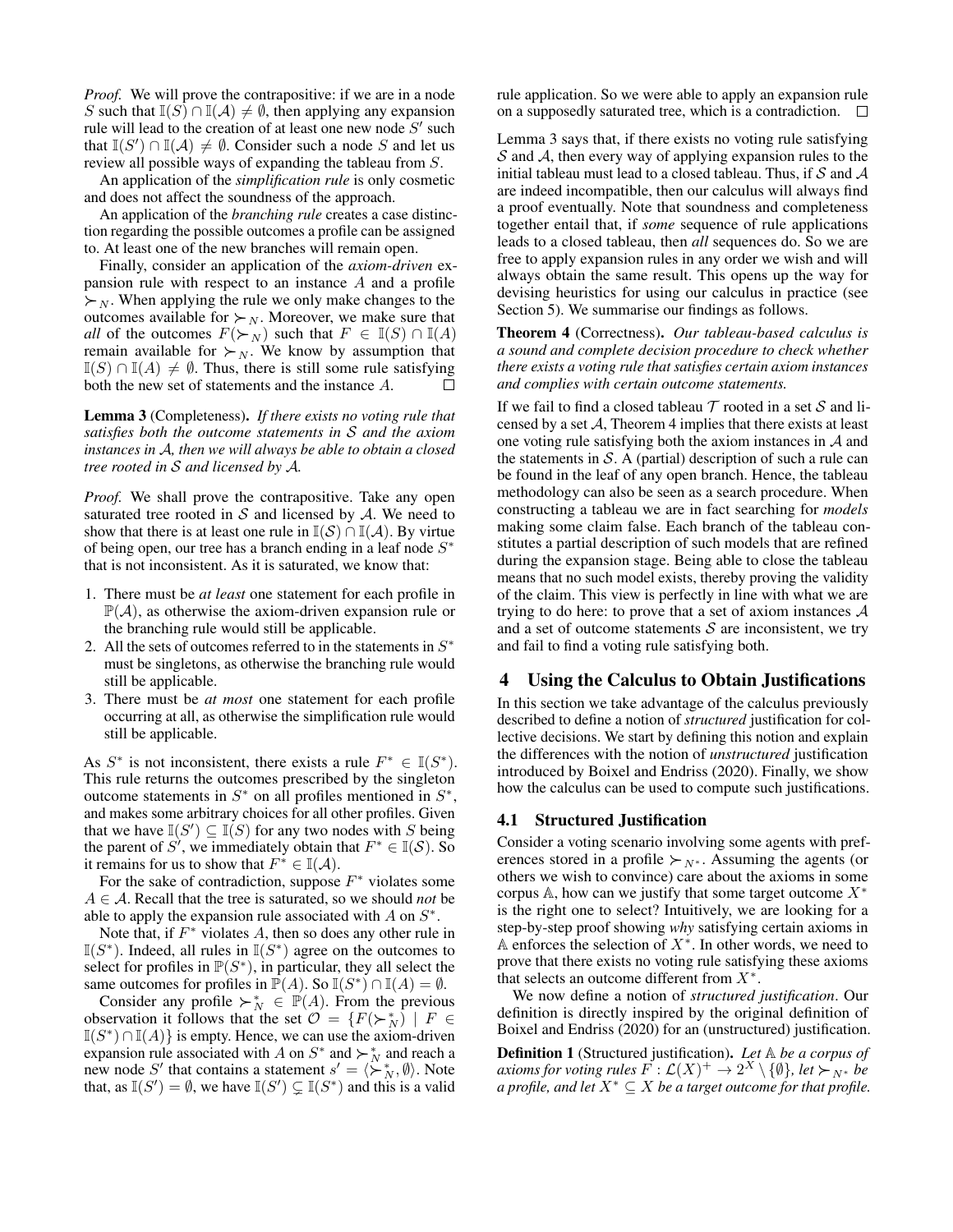*Proof.* We will prove the contrapositive: if we are in a node S such that  $\mathbb{I}(S) \cap \mathbb{I}(\mathcal{A}) \neq \emptyset$ , then applying any expansion rule will lead to the creation of at least one new node  $S'$  such that  $\mathbb{I}(S') \cap \mathbb{I}(\mathcal{A}) \neq \emptyset$ . Consider such a node S and let us review all possible ways of expanding the tableau from S.

An application of the *simplification rule* is only cosmetic and does not affect the soundness of the approach.

An application of the *branching rule* creates a case distinction regarding the possible outcomes a profile can be assigned to. At least one of the new branches will remain open.

Finally, consider an application of the *axiom-driven* expansion rule with respect to an instance A and a profile  $\succ_N$ . When applying the rule we only make changes to the outcomes available for  $\succ_N$ . Moreover, we make sure that *all* of the outcomes  $F(\succ_N)$  such that  $F \in \mathbb{I}(S) \cap \mathbb{I}(A)$ remain available for  $\succ_N$ . We know by assumption that  $\mathbb{I}(S) \cap \mathbb{I}(A) \neq \emptyset$ . Thus, there is still some rule satisfying both the new set of statements and the instance A.

Lemma 3 (Completeness). *If there exists no voting rule that satisfies both the outcome statements in* S *and the axiom instances in* A*, then we will always be able to obtain a closed tree rooted in* S *and licensed by* A*.*

*Proof.* We shall prove the contrapositive. Take any open saturated tree rooted in  $S$  and licensed by  $A$ . We need to show that there is at least one rule in  $\mathbb{I}(S) \cap \mathbb{I}(\mathcal{A})$ . By virtue of being open, our tree has a branch ending in a leaf node  $S^*$ that is not inconsistent. As it is saturated, we know that:

- 1. There must be *at least* one statement for each profile in  $\mathbb{P}(\mathcal{A})$ , as otherwise the axiom-driven expansion rule or the branching rule would still be applicable.
- 2. All the sets of outcomes referred to in the statements in  $S^*$ must be singletons, as otherwise the branching rule would still be applicable.
- 3. There must be *at most* one statement for each profile occurring at all, as otherwise the simplification rule would still be applicable.

As  $S^*$  is not inconsistent, there exists a rule  $F^* \in \mathbb{I}(S^*)$ . This rule returns the outcomes prescribed by the singleton outcome statements in  $S^*$  on all profiles mentioned in  $S^*$ , and makes some arbitrary choices for all other profiles. Given that we have  $\mathbb{I}(S') \subseteq \mathbb{I}(S)$  for any two nodes with S being the parent of S', we immediately obtain that  $F^* \in \mathbb{I}(\mathcal{S})$ . So it remains for us to show that  $F^* \in \mathbb{I}(\mathcal{A})$ .

For the sake of contradiction, suppose  $F^*$  violates some A ∈ A. Recall that the tree is saturated, so we should *not* be able to apply the expansion rule associated with  $A$  on  $S^*$ .

Note that, if  $F^*$  violates A, then so does any other rule in  $\mathbb{I}(S^*)$ . Indeed, all rules in  $\mathbb{I}(S^*)$  agree on the outcomes to select for profiles in  $\mathbb{P}(S^*)$ , in particular, they all select the same outcomes for profiles in  $\mathbb{P}(A)$ . So  $\mathbb{I}(S^*) \cap \mathbb{I}(A) = \emptyset$ .

Consider any profile  $\succ_N^* \in \mathbb{P}(A)$ . From the previous observation it follows that the set  $\mathcal{O} = \{F(\succ_N^*) \mid F \in$  $\mathbb{I}(S^*) \cap \mathbb{I}(A)$  is empty. Hence, we can use the axiom-driven expansion rule associated with A on  $S^*$  and  $\succ_N^*$  and reach a new node S' that contains a statement  $s' = \langle \succ_N^* \emptyset \rangle$ . Note that, as  $\mathbb{I}(S') = \emptyset$ , we have  $\mathbb{I}(S') \subsetneq \mathbb{I}(S^*)$  and this is a valid rule application. So we were able to apply an expansion rule on a supposedly saturated tree, which is a contradiction.  $\Box$ 

Lemma 3 says that, if there exists no voting rule satisfying  $S$  and  $A$ , then every way of applying expansion rules to the initial tableau must lead to a closed tableau. Thus, if  $S$  and  $A$ are indeed incompatible, then our calculus will always find a proof eventually. Note that soundness and completeness together entail that, if *some* sequence of rule applications leads to a closed tableau, then *all* sequences do. So we are free to apply expansion rules in any order we wish and will always obtain the same result. This opens up the way for devising heuristics for using our calculus in practice (see Section 5). We summarise our findings as follows.

Theorem 4 (Correctness). *Our tableau-based calculus is a sound and complete decision procedure to check whether there exists a voting rule that satisfies certain axiom instances and complies with certain outcome statements.*

If we fail to find a closed tableau  $\mathcal T$  rooted in a set  $\mathcal S$  and licensed by a set  $A$ , Theorem 4 implies that there exists at least one voting rule satisfying both the axiom instances in  $A$  and the statements in  $S$ . A (partial) description of such a rule can be found in the leaf of any open branch. Hence, the tableau methodology can also be seen as a search procedure. When constructing a tableau we are in fact searching for *models* making some claim false. Each branch of the tableau constitutes a partial description of such models that are refined during the expansion stage. Being able to close the tableau means that no such model exists, thereby proving the validity of the claim. This view is perfectly in line with what we are trying to do here: to prove that a set of axiom instances  $A$ and a set of outcome statements  $S$  are inconsistent, we try and fail to find a voting rule satisfying both.

# 4 Using the Calculus to Obtain Justifications

In this section we take advantage of the calculus previously described to define a notion of *structured* justification for collective decisions. We start by defining this notion and explain the differences with the notion of *unstructured* justification introduced by Boixel and Endriss (2020). Finally, we show how the calculus can be used to compute such justifications.

# 4.1 Structured Justification

Consider a voting scenario involving some agents with preferences stored in a profile  $\succ_{N^*}$ . Assuming the agents (or others we wish to convince) care about the axioms in some corpus A, how can we justify that some target outcome  $X^*$ is the right one to select? Intuitively, we are looking for a step-by-step proof showing *why* satisfying certain axioms in A enforces the selection of  $X^*$ . In other words, we need to prove that there exists no voting rule satisfying these axioms that selects an outcome different from  $X^*$ .

We now define a notion of *structured justification*. Our definition is directly inspired by the original definition of Boixel and Endriss (2020) for an (unstructured) justification.

Definition 1 (Structured justification). *Let* A *be a corpus of* axioms for voting rules  $\overline{F}:\mathcal{L}(X)^+\to 2^X\setminus\{\emptyset\}$ , let  $\succ_{N^*}$  be *a profile, and let*  $X^* \subseteq X$  *be a target outcome for that profile.*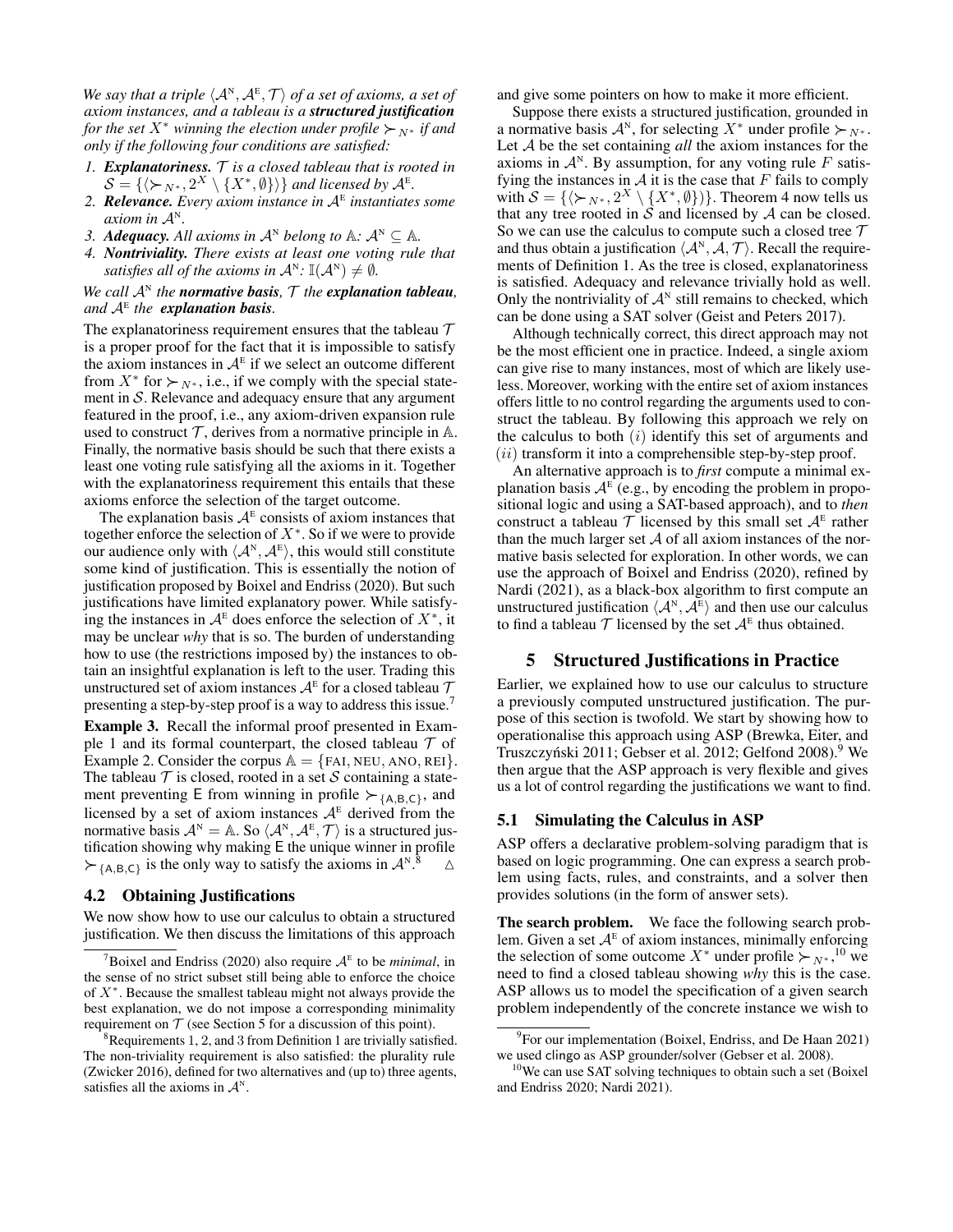We say that a triple  $\langle A^N, A^E, \mathcal{T} \rangle$  of a set of axioms, a set of *axiom instances, and a tableau is a structured justification for the set*  $X^*$  *winning the election under profile*  $\succ_{N^*}$  *if and only if the following four conditions are satisfied:*

- *1. Explanatoriness.* T *is a closed tableau that is rooted in*  $\mathcal{S} = \{ \langle \succ_{N^*}, 2^X \setminus \{X^*, \emptyset\} \rangle \}$  and licensed by  $\mathcal{A}^E$ .
- *2. Relevance. Every axiom instance in* A<sup>E</sup> *instantiates some axiom in*  $A^N$ .
- *3. Adequacy. All axioms in*  $A^N$  *belong to*  $A: A^N \subseteq A$ *.*
- *4. Nontriviality. There exists at least one voting rule that satisfies all of the axioms in*  $\mathcal{A}^N$ :  $\mathbb{I}(\mathcal{A}^N) \neq \emptyset$ .

# *We call*  $A^N$  *the normative basis,*  $T$  *the explanation tableau*, *and* A<sup>E</sup> *the explanation basis.*

The explanatoriness requirement ensures that the tableau  $\mathcal T$ is a proper proof for the fact that it is impossible to satisfy the axiom instances in  $A^E$  if we select an outcome different from  $X^*$  for  $\succ_{N^*}$ , i.e., if we comply with the special statement in  $S$ . Relevance and adequacy ensure that any argument featured in the proof, i.e., any axiom-driven expansion rule used to construct  $T$ , derives from a normative principle in  $A$ . Finally, the normative basis should be such that there exists a least one voting rule satisfying all the axioms in it. Together with the explanatoriness requirement this entails that these axioms enforce the selection of the target outcome.

The explanation basis  $A^E$  consists of axiom instances that together enforce the selection of  $X^*$ . So if we were to provide our audience only with  $\langle A^{\scriptscriptstyle \rm N}, A^{\scriptscriptstyle \rm E} \rangle$ , this would still constitute some kind of justification. This is essentially the notion of justification proposed by Boixel and Endriss (2020). But such justifications have limited explanatory power. While satisfying the instances in  $A^E$  does enforce the selection of  $X^*$ , it may be unclear *why* that is so. The burden of understanding how to use (the restrictions imposed by) the instances to obtain an insightful explanation is left to the user. Trading this unstructured set of axiom instances  $\mathcal{A}^{\text{\tiny E}}$  for a closed tableau  $\mathcal T$ presenting a step-by-step proof is a way to address this issue.<sup>7</sup>

Example 3. Recall the informal proof presented in Example 1 and its formal counterpart, the closed tableau  $\mathcal T$  of Example 2. Consider the corpus  $A = \{FAI, NEU, ANO, REI\}.$ The tableau  $T$  is closed, rooted in a set  $S$  containing a statement preventing E from winning in profile  $\succ_{A,B,C}$ , and licensed by a set of axiom instances  $A<sup>E</sup>$  derived from the normative basis  $\mathcal{A}^{N} = A$ . So  $\langle \mathcal{A}^{N}, \mathcal{A}^{E}, \mathcal{T} \rangle$  is a structured justification showing why making E the unique winner in profile  $\succ_{\{A,B,C\}}$  is the only way to satisfy the axioms in  $\mathcal{A}^N$ .  $\wedge$ 

## 4.2 Obtaining Justifications

We now show how to use our calculus to obtain a structured justification. We then discuss the limitations of this approach

and give some pointers on how to make it more efficient.

Suppose there exists a structured justification, grounded in a normative basis  $\mathcal{A}^N$ , for selecting  $X^*$  under profile  $\succ_{N^*}$ . Let A be the set containing *all* the axiom instances for the axioms in  $\mathcal{A}^N$ . By assumption, for any voting rule F satisfying the instances in  $A$  it is the case that  $F$  fails to comply with  $S = {\langle \rangle \succ_{N^*}, 2^X \setminus {\{X^*, \emptyset\}} \rangle}$ . Theorem 4 now tells us that any tree rooted in  $\hat{S}$  and licensed by  $\hat{A}$  can be closed. So we can use the calculus to compute such a closed tree  $T$ and thus obtain a justification  $\langle A^N, A, \mathcal{T} \rangle$ . Recall the requirements of Definition 1. As the tree is closed, explanatoriness is satisfied. Adequacy and relevance trivially hold as well. Only the nontriviality of  $A<sup>N</sup>$  still remains to checked, which can be done using a SAT solver (Geist and Peters 2017).

Although technically correct, this direct approach may not be the most efficient one in practice. Indeed, a single axiom can give rise to many instances, most of which are likely useless. Moreover, working with the entire set of axiom instances offers little to no control regarding the arguments used to construct the tableau. By following this approach we rely on the calculus to both  $(i)$  identify this set of arguments and  $(ii)$  transform it into a comprehensible step-by-step proof.

An alternative approach is to *first* compute a minimal explanation basis  $A^E$  (e.g., by encoding the problem in propositional logic and using a SAT-based approach), and to *then* construct a tableau  $\mathcal T$  licensed by this small set  $\mathcal A^E$  rather than the much larger set  $A$  of all axiom instances of the normative basis selected for exploration. In other words, we can use the approach of Boixel and Endriss (2020), refined by Nardi (2021), as a black-box algorithm to first compute an unstructured justification  $\langle A^N, A^E \rangle$  and then use our calculus to find a tableau  $\mathcal T$  licensed by the set  $\mathcal A^E$  thus obtained.

# 5 Structured Justifications in Practice

Earlier, we explained how to use our calculus to structure a previously computed unstructured justification. The purpose of this section is twofold. We start by showing how to operationalise this approach using ASP (Brewka, Eiter, and Truszczyński 2011; Gebser et al. 2012; Gelfond 2008).<sup>9</sup> We then argue that the ASP approach is very flexible and gives us a lot of control regarding the justifications we want to find.

# 5.1 Simulating the Calculus in ASP

ASP offers a declarative problem-solving paradigm that is based on logic programming. One can express a search problem using facts, rules, and constraints, and a solver then provides solutions (in the form of answer sets).

The search problem. We face the following search problem. Given a set  $A^E$  of axiom instances, minimally enforcing the selection of some outcome  $X^*$  under profile  $\succ_{N^*}$ ,<sup>10</sup> we need to find a closed tableau showing *why* this is the case. ASP allows us to model the specification of a given search problem independently of the concrete instance we wish to

<sup>&</sup>lt;sup>7</sup>Boixel and Endriss (2020) also require  $A^E$  to be *minimal*, in the sense of no strict subset still being able to enforce the choice of  $X^*$ . Because the smallest tableau might not always provide the best explanation, we do not impose a corresponding minimality requirement on  $T$  (see Section 5 for a discussion of this point).

 ${}^{8}$ Requirements 1, 2, and 3 from Definition 1 are trivially satisfied. The non-triviality requirement is also satisfied: the plurality rule (Zwicker 2016), defined for two alternatives and (up to) three agents, satisfies all the axioms in  $\mathcal{A}^N$ .

<sup>&</sup>lt;sup>9</sup> For our implementation (Boixel, Endriss, and De Haan 2021) we used clingo as ASP grounder/solver (Gebser et al. 2008).

<sup>&</sup>lt;sup>10</sup>We can use SAT solving techniques to obtain such a set (Boixel and Endriss 2020; Nardi 2021).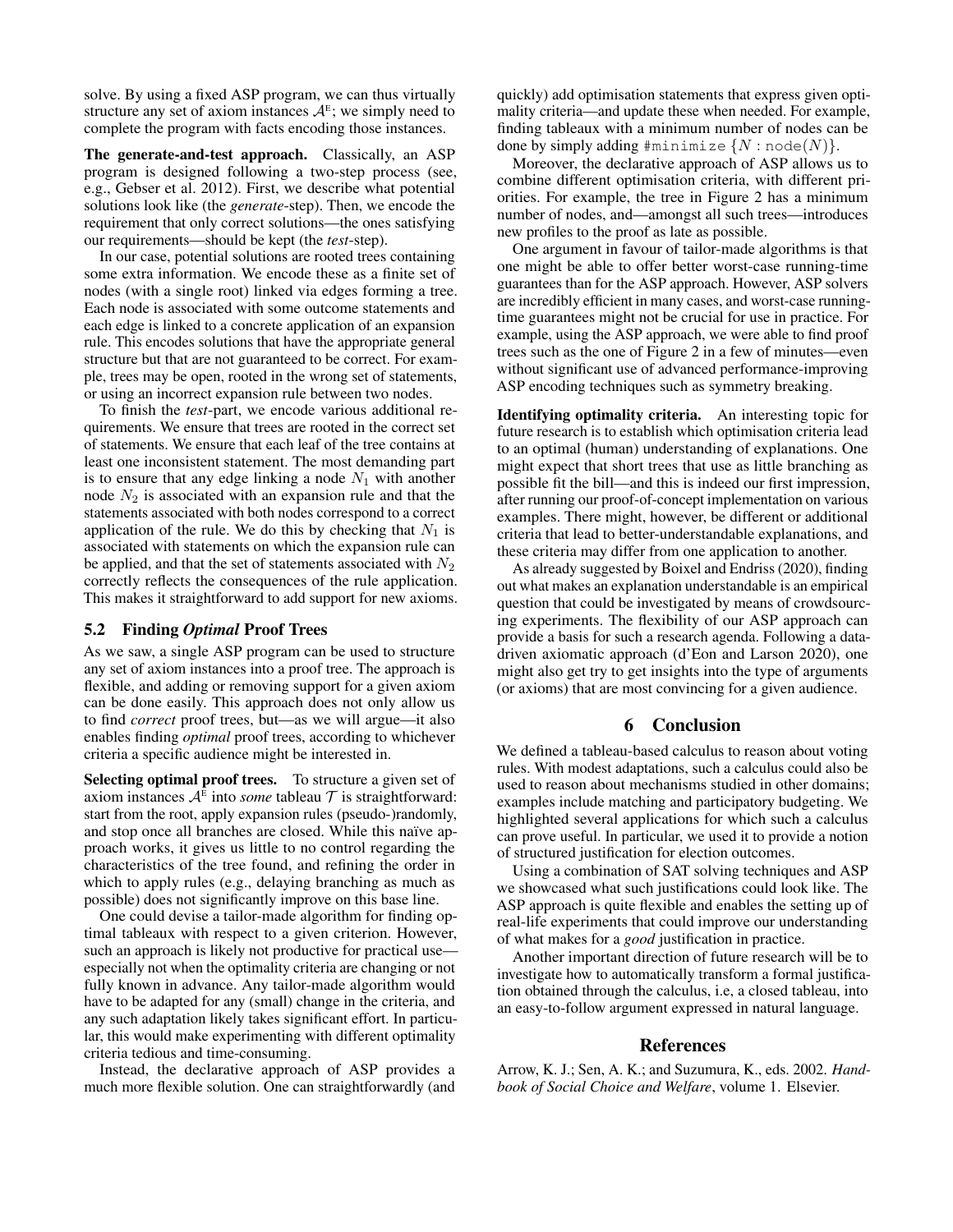solve. By using a fixed ASP program, we can thus virtually structure any set of axiom instances  $A<sup>E</sup>$ ; we simply need to complete the program with facts encoding those instances.

The generate-and-test approach. Classically, an ASP program is designed following a two-step process (see, e.g., Gebser et al. 2012). First, we describe what potential solutions look like (the *generate*-step). Then, we encode the requirement that only correct solutions—the ones satisfying our requirements—should be kept (the *test*-step).

In our case, potential solutions are rooted trees containing some extra information. We encode these as a finite set of nodes (with a single root) linked via edges forming a tree. Each node is associated with some outcome statements and each edge is linked to a concrete application of an expansion rule. This encodes solutions that have the appropriate general structure but that are not guaranteed to be correct. For example, trees may be open, rooted in the wrong set of statements, or using an incorrect expansion rule between two nodes.

To finish the *test*-part, we encode various additional requirements. We ensure that trees are rooted in the correct set of statements. We ensure that each leaf of the tree contains at least one inconsistent statement. The most demanding part is to ensure that any edge linking a node  $N_1$  with another node  $N_2$  is associated with an expansion rule and that the statements associated with both nodes correspond to a correct application of the rule. We do this by checking that  $N_1$  is associated with statements on which the expansion rule can be applied, and that the set of statements associated with  $N_2$ correctly reflects the consequences of the rule application. This makes it straightforward to add support for new axioms.

# 5.2 Finding *Optimal* Proof Trees

As we saw, a single ASP program can be used to structure any set of axiom instances into a proof tree. The approach is flexible, and adding or removing support for a given axiom can be done easily. This approach does not only allow us to find *correct* proof trees, but—as we will argue—it also enables finding *optimal* proof trees, according to whichever criteria a specific audience might be interested in.

Selecting optimal proof trees. To structure a given set of axiom instances  $A^E$  into *some* tableau  $T$  is straightforward: start from the root, apply expansion rules (pseudo-)randomly, and stop once all branches are closed. While this naïve approach works, it gives us little to no control regarding the characteristics of the tree found, and refining the order in which to apply rules (e.g., delaying branching as much as possible) does not significantly improve on this base line.

One could devise a tailor-made algorithm for finding optimal tableaux with respect to a given criterion. However, such an approach is likely not productive for practical use especially not when the optimality criteria are changing or not fully known in advance. Any tailor-made algorithm would have to be adapted for any (small) change in the criteria, and any such adaptation likely takes significant effort. In particular, this would make experimenting with different optimality criteria tedious and time-consuming.

Instead, the declarative approach of ASP provides a much more flexible solution. One can straightforwardly (and quickly) add optimisation statements that express given optimality criteria—and update these when needed. For example, finding tableaux with a minimum number of nodes can be done by simply adding  $\text{\#minimize} \{N : \text{node}(N)\}.$ 

Moreover, the declarative approach of ASP allows us to combine different optimisation criteria, with different priorities. For example, the tree in Figure 2 has a minimum number of nodes, and—amongst all such trees—introduces new profiles to the proof as late as possible.

One argument in favour of tailor-made algorithms is that one might be able to offer better worst-case running-time guarantees than for the ASP approach. However, ASP solvers are incredibly efficient in many cases, and worst-case runningtime guarantees might not be crucial for use in practice. For example, using the ASP approach, we were able to find proof trees such as the one of Figure 2 in a few of minutes—even without significant use of advanced performance-improving ASP encoding techniques such as symmetry breaking.

Identifying optimality criteria. An interesting topic for future research is to establish which optimisation criteria lead to an optimal (human) understanding of explanations. One might expect that short trees that use as little branching as possible fit the bill—and this is indeed our first impression, after running our proof-of-concept implementation on various examples. There might, however, be different or additional criteria that lead to better-understandable explanations, and these criteria may differ from one application to another.

As already suggested by Boixel and Endriss (2020), finding out what makes an explanation understandable is an empirical question that could be investigated by means of crowdsourcing experiments. The flexibility of our ASP approach can provide a basis for such a research agenda. Following a datadriven axiomatic approach (d'Eon and Larson 2020), one might also get try to get insights into the type of arguments (or axioms) that are most convincing for a given audience.

# 6 Conclusion

We defined a tableau-based calculus to reason about voting rules. With modest adaptations, such a calculus could also be used to reason about mechanisms studied in other domains; examples include matching and participatory budgeting. We highlighted several applications for which such a calculus can prove useful. In particular, we used it to provide a notion of structured justification for election outcomes.

Using a combination of SAT solving techniques and ASP we showcased what such justifications could look like. The ASP approach is quite flexible and enables the setting up of real-life experiments that could improve our understanding of what makes for a *good* justification in practice.

Another important direction of future research will be to investigate how to automatically transform a formal justification obtained through the calculus, i.e, a closed tableau, into an easy-to-follow argument expressed in natural language.

### References

Arrow, K. J.; Sen, A. K.; and Suzumura, K., eds. 2002. *Handbook of Social Choice and Welfare*, volume 1. Elsevier.